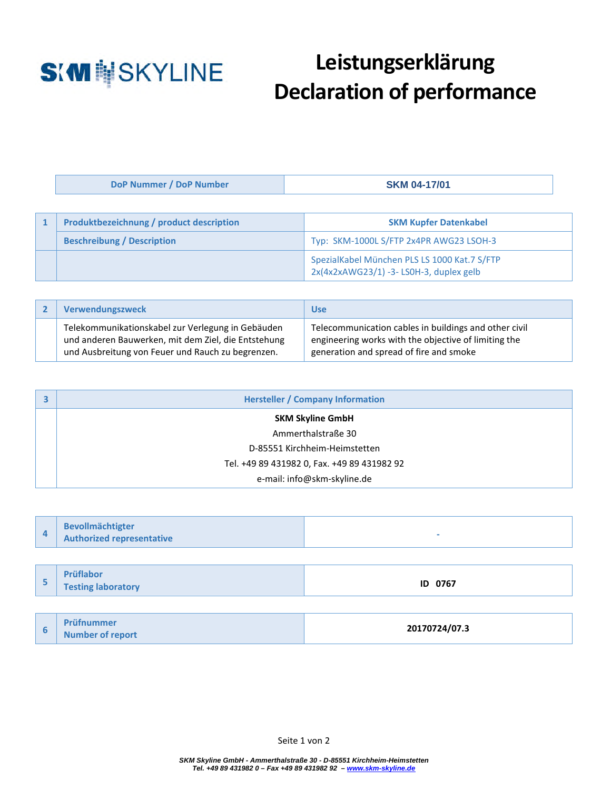

## **Leistungserklärung Declaration of performance**

**DoP Nummer / DoP Number SKM 04-17/01** 

| <b>Produktbezeichnung / product description</b> | <b>SKM Kupfer Datenkabel</b>                                                           |  |
|-------------------------------------------------|----------------------------------------------------------------------------------------|--|
| <b>Beschreibung / Description</b>               | Typ: SKM-1000L S/FTP 2x4PR AWG23 LSOH-3                                                |  |
|                                                 | SpezialKabel München PLS LS 1000 Kat.7 S/FTP<br>2x(4x2xAWG23/1) -3-LS0H-3, duplex gelb |  |

| Verwendungszweck                                                                                                                                              | Use                                                                                                                                                      |
|---------------------------------------------------------------------------------------------------------------------------------------------------------------|----------------------------------------------------------------------------------------------------------------------------------------------------------|
| Telekommunikationskabel zur Verlegung in Gebäuden<br>und anderen Bauwerken, mit dem Ziel, die Entstehung<br>und Ausbreitung von Feuer und Rauch zu begrenzen. | Telecommunication cables in buildings and other civil<br>engineering works with the objective of limiting the<br>generation and spread of fire and smoke |

| <b>Hersteller / Company Information</b>     |  |  |
|---------------------------------------------|--|--|
| <b>SKM Skyline GmbH</b>                     |  |  |
| Ammerthalstraße 30                          |  |  |
| D-85551 Kirchheim-Heimstetten               |  |  |
| Tel. +49 89 431982 0, Fax. +49 89 431982 92 |  |  |
| e-mail: info@skm-skyline.de                 |  |  |

| <b>Bevollmächtigter</b><br><b>Authorized representative</b> |  |
|-------------------------------------------------------------|--|
|                                                             |  |

| - | Prüflabor<br><b>Testing laboratory</b> | ID 0767 |
|---|----------------------------------------|---------|
|   |                                        |         |

|  | Prüfnummer              | 20170724/07.3 |
|--|-------------------------|---------------|
|  | <b>Number of report</b> |               |

Seite 1 von 2